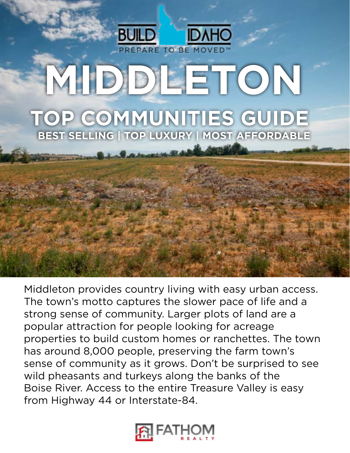

Middleton provides country living with easy urban access. The town's motto captures the slower pace of life and a strong sense of community. Larger plots of land are a popular attraction for people looking for acreage properties to build custom homes or ranchettes. The town has around 8,000 people, preserving the farm town's sense of community as it grows. Don't be surprised to see wild pheasants and turkeys along the banks of the Boise River. Access to the entire Treasure Valley is easy from Highway 44 or Interstate-84.